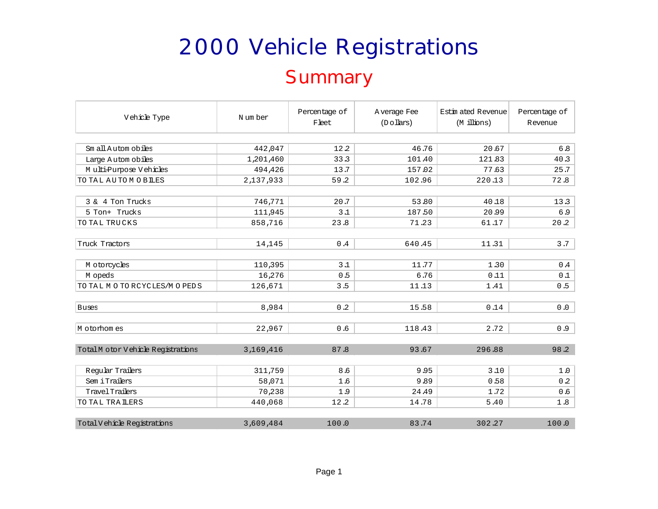#### **Summary**

| Vehicle Type                      | N um ber  | Percentage of<br>Fleet | A verage Fee<br>$(D \circ llars)$ | Estin ated Revenue<br>(M illions) | Percentage of<br>Revenue |  |
|-----------------------------------|-----------|------------------------|-----------------------------------|-----------------------------------|--------------------------|--|
|                                   |           |                        |                                   |                                   |                          |  |
| Sm all Autom obiles               | 442,047   | 12.2                   | 46.76                             | 20.67                             | 6.8                      |  |
| Large Autom obiles                | 1,201,460 | 33.3                   | 101.40                            | 121.83                            | 40.3                     |  |
| Multi-Purpose Vehicles            | 494,426   | 13.7                   | 157.02                            | 77.63                             | 25.7                     |  |
| TO TAL AUTOMOBILES                | 2,137,933 | 59.2                   | 102.96                            | 220.13                            | 72.8                     |  |
|                                   |           |                        |                                   |                                   |                          |  |
| 3 & 4 Ton Trucks                  | 746,771   | 20.7                   | 53.80                             | 40.18                             | 13.3                     |  |
| 5 Ton+ Trucks                     | 111,945   | 3.1                    | 187.50                            | 20.99                             | 6.9                      |  |
| TO TAL TRUCKS                     | 858,716   | 23.8                   | 71.23                             | 61.17                             | 20.2                     |  |
|                                   |           |                        |                                   |                                   |                          |  |
| Truck Tractors                    | 14,145    | 0.4                    | 640.45                            | 11.31                             | 3.7                      |  |
|                                   |           |                        |                                   |                                   |                          |  |
| M otorcycles                      | 110,395   | 3.1                    | 11.77                             | 1.30                              | 0.4                      |  |
| M opeds                           | 16,276    | 0.5                    | 6.76                              | 0.11                              | 0.1                      |  |
| TO TAL MOTORCYCLES/MOPEDS         | 126,671   | 3.5                    | 11.13                             | 1.41                              | 0.5                      |  |
|                                   |           |                        |                                   |                                   |                          |  |
| <b>Buses</b>                      | 8,984     | 0.2                    | 15.58                             | 0.14                              | 0.0                      |  |
|                                   |           |                        |                                   |                                   |                          |  |
| M otorhomes                       | 22,967    | 0.6                    | 118.43                            | 2.72                              | 0.9                      |  |
|                                   |           |                        |                                   |                                   |                          |  |
| TotalM otor Vehicle Registrations | 3,169,416 | 87.8                   | 93.67                             | 296.88                            | 98.2                     |  |
|                                   |           |                        |                                   |                                   |                          |  |
| Regular Trailers                  | 311,759   | 8.6                    | 9.95                              | 3.10                              | 1.0                      |  |
| Sem i Trailers                    | 58,071    | 1.6                    | 9.89                              | 0.58                              | 0.2                      |  |
| Travel Trailers                   | 70,238    | 1.9                    | 24.49                             | 1.72                              | 0.6                      |  |
| TO TAL TRAILERS                   | 440,068   | 12.2                   | 14.78                             | 5.40                              | 1.8                      |  |
|                                   |           |                        |                                   |                                   |                          |  |
| Total V ehicle Registrations      | 3,609,484 | 100.0                  | 83.74                             | 302.27                            | 100.0                    |  |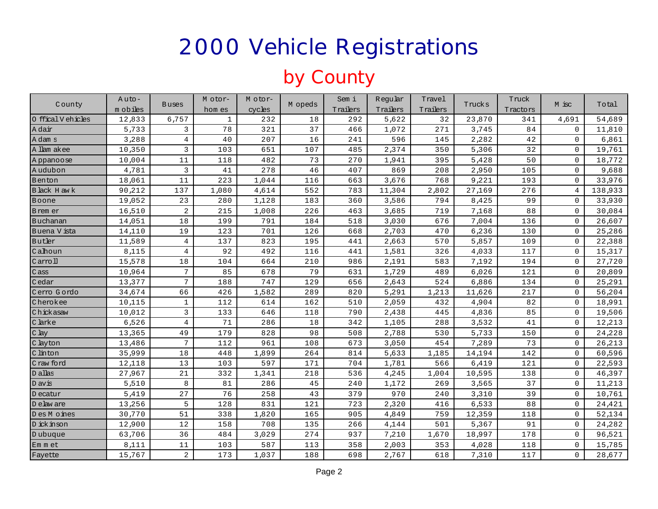#### by County

|                    | $A$ uto- |                 | M otor-      | Motor- |         | Sem i    | Reqular  | Travel   |        | Truck    | M isc               |         |
|--------------------|----------|-----------------|--------------|--------|---------|----------|----------|----------|--------|----------|---------------------|---------|
| County             | m obiles | <b>Buses</b>    | hom es       | cycles | M opeds | Trailers | Trailers | Trailers | Trucks | Tractors |                     | Total   |
| 0 ffical V ehicles | 12,833   | 6,757           | $\mathbf{1}$ | 232    | 18      | 292      | 5,622    | 32       | 23,870 | 341      | 4,691               | 54,689  |
| A dair             | 5,733    | 3               | 78           | 321    | 37      | 466      | 1,072    | 271      | 3,745  | 84       | $\mathbf 0$         | 11,810  |
| A dam s            | 3,288    | $\overline{4}$  | 40           | 207    | 16      | 241      | 596      | 145      | 2,282  | 42       | $\mathbf 0$         | 6,861   |
| A llam akee        | 10,350   | 3               | 103          | 651    | 107     | 485      | 2,374    | 350      | 5,306  | 32       | $\Omega$            | 19,761  |
| Appanoose          | 10,004   | 11              | 118          | 482    | 73      | 270      | 1,941    | 395      | 5,428  | 50       | $\mathbf 0$         | 18,772  |
| Audubon            | 4,781    | $\overline{3}$  | 41           | 278    | 46      | 407      | 869      | 208      | 2,950  | 105      | $\mathbf 0$         | 9,688   |
| Benton             | 18,061   | 11              | 223          | 1,044  | 116     | 663      | 3,676    | 768      | 9,221  | 193      | $\mathbf 0$         | 33,976  |
| Black H aw k       | 90,212   | 137             | 1,080        | 4,614  | 552     | 783      | 11,304   | 2,802    | 27,169 | 276      | 4                   | 138,933 |
| Boone              | 19,052   | 23              | 280          | 1,128  | 183     | 360      | 3,586    | 794      | 8,425  | 99       | $\mathbf 0$         | 33,930  |
| Brem er            | 16,510   | 2               | 215          | 1,008  | 226     | 463      | 3,685    | 719      | 7,168  | 88       | $\mathbf 0$         | 30,084  |
| Buchanan           | 14,051   | 18              | 199          | 791    | 184     | 518      | 3,030    | 676      | 7,004  | 136      | $\mathbf 0$         | 26,607  |
| Buena V ista       | 14,110   | 19              | 123          | 701    | 126     | 668      | 2,703    | 470      | 6,236  | 130      | $\mathbf 0$         | 25,286  |
| Butler             | 11,589   | 4               | 137          | 823    | 195     | 441      | 2,663    | 570      | 5,857  | 109      | $\mathbf 0$         | 22,388  |
| Calhoun            | 8,115    | $\overline{4}$  | 92           | 492    | 116     | 441      | 1,581    | 326      | 4,033  | 117      | $\mathbf 0$         | 15,317  |
| Carroll            | 15,578   | 18              | 104          | 664    | 210     | 986      | 2,191    | 583      | 7,192  | 194      | $\mathbf 0$         | 27,720  |
| $C$ ass            | 10,964   | $7\phantom{.0}$ | 85           | 678    | 79      | 631      | 1,729    | 489      | 6,026  | 121      | $\mathbf 0$         | 20,809  |
| Cedar              | 13,377   | 7               | 188          | 747    | 129     | 656      | 2,643    | 524      | 6,886  | 134      | $\mathbf 0$         | 25,291  |
| Cerro Gordo        | 34,674   | 66              | 426          | 1,582  | 289     | 820      | 5,291    | 1,213    | 11,626 | 217      | $\Omega$            | 56,204  |
| Cherokee           | 10,115   | $\mathbf{1}$    | 112          | 614    | 162     | 510      | 2,059    | 432      | 4,904  | 82       | $\mathbf 0$         | 18,991  |
| Chickasaw          | 10,012   | $\overline{3}$  | 133          | 646    | 118     | 790      | 2,438    | 445      | 4,836  | 85       | $\mathbf 0$         | 19,506  |
| C larke            | 6,526    | 4               | 71           | 286    | 18      | 342      | 1,105    | 288      | 3,532  | 41       | $\mathbf 0$         | 12,213  |
| $C$ lay            | 13,365   | 49              | 179          | 828    | 98      | 508      | 2,788    | 530      | 5,733  | 150      | $\mathbf 0$         | 24,228  |
| C layton           | 13,486   | $7\phantom{.0}$ | 112          | 961    | 108     | 673      | 3,050    | 454      | 7,289  | 73       | $\mathbf 0$         | 26,213  |
| C linton           | 35,999   | 18              | 448          | 1,899  | 264     | 814      | 5,633    | 1,185    | 14,194 | 142      | $\mathbf 0$         | 60,596  |
| Craw ford          | 12,118   | 13              | 103          | 597    | 171     | 704      | 1,781    | 566      | 6,419  | 121      | $\Omega$            | 22,593  |
| D allas            | 27,967   | 21              | 332          | 1,341  | 218     | 536      | 4,245    | 1,004    | 10,595 | 138      | $\mathbf 0$         | 46,397  |
| D avis             | 5,510    | 8               | 81           | 286    | 45      | 240      | 1,172    | 269      | 3,565  | 37       | $\mathbf 0$         | 11,213  |
| D ecatur           | 5,419    | 27              | 76           | 258    | 43      | 379      | 970      | 240      | 3,310  | 39       | $\mathbf 0$         | 10,761  |
| D elaw are         | 13,256   | 5               | 128          | 831    | 121     | 723      | 2,320    | 416      | 6,533  | 88       | $\mathbf 0$         | 24,421  |
| Des Moines         | 30,770   | 51              | 338          | 1,820  | 165     | 905      | 4,849    | 759      | 12,359 | 118      | $\mathbf 0$         | 52,134  |
| D ick inson        | 12,900   | 12              | 158          | 708    | 135     | 266      | 4,144    | 501      | 5,367  | 91       | $\mathbf 0$         | 24,282  |
| D ubuque           | 63,706   | 36              | 484          | 3,029  | 274     | 937      | 7,210    | 1,670    | 18,997 | 178      | $\mathbf 0$         | 96,521  |
| Em m et            | 8,111    | 11              | 103          | 587    | 113     | 358      | 2,003    | 353      | 4,028  | 118      | $\mathbf 0$         | 15,785  |
| Fayette            | 15,767   | $\overline{a}$  | 173          | 1,037  | 188     | 698      | 2,767    | 618      | 7,310  | 117      | $\mathsf{O}\xspace$ | 28,677  |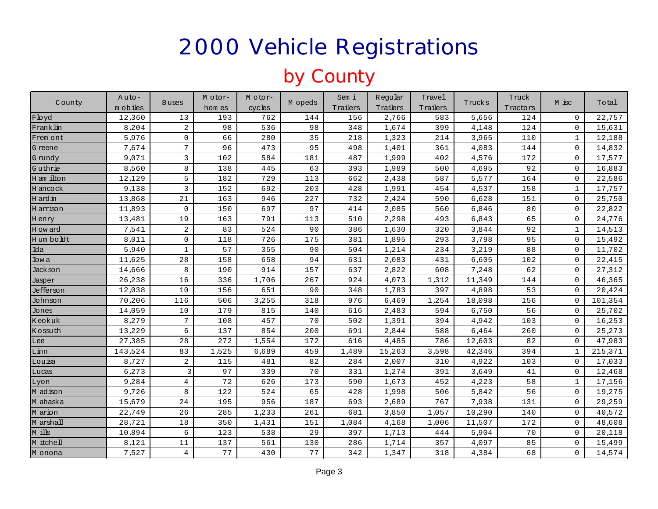### by County

|             | $A$ uto- |                 | M otor- | M otor- |         | Sem i    | Regular  | Travel   |        | Truck    | M isc        |         |
|-------------|----------|-----------------|---------|---------|---------|----------|----------|----------|--------|----------|--------------|---------|
| County      | m obiles | <b>Buses</b>    | hom es  | cycles  | M opeds | Trailers | Trailers | Trailers | Trucks | Tractors |              | Total   |
| Floyd       | 12,360   | 13              | 193     | 762     | 144     | 156      | 2,766    | 583      | 5,656  | 124      | $\mathbf 0$  | 22,757  |
| Frank lin   | 8,204    | 2               | 98      | 536     | 98      | 348      | 1,674    | 399      | 4,148  | 124      | $\mathbf 0$  | 15,631  |
| Frem ont    | 5,976    | 0               | 66      | 280     | 35      | 218      | 1,323    | 214      | 3,965  | 110      | $\mathbf{1}$ | 12,188  |
| G reene     | 7,674    | $7\overline{ }$ | 96      | 473     | 95      | 498      | 1,401    | 361      | 4,083  | 144      | $\mathbf 0$  | 14,832  |
| G rundy     | 9,071    | 3               | 102     | 584     | 181     | 487      | 1,999    | 402      | 4,576  | 172      | $\mathbf 0$  | 17,577  |
| Guthrie     | 8,560    | 8               | 138     | 445     | 63      | 393      | 1,989    | 500      | 4,695  | 92       | $\mathbf 0$  | 16,883  |
| H am ilton  | 12,129   | 5               | 182     | 729     | 113     | 662      | 2,438    | 587      | 5,577  | 164      | $\mathbf 0$  | 22,586  |
| H ancock    | 9,138    | 3               | 152     | 692     | 203     | 428      | 1,991    | 454      | 4,537  | 158      | $\mathbf{1}$ | 17,757  |
| H ard in    | 13,868   | 21              | 163     | 946     | 227     | 732      | 2,424    | 590      | 6,628  | 151      | $\mathbf 0$  | 25,750  |
| H arrison   | 11,893   | $\mathbf 0$     | 150     | 697     | 97      | 414      | 2,085    | 560      | 6,846  | 80       | $\mathbf 0$  | 22,822  |
| H enry      | 13,481   | 19              | 163     | 791     | 113     | 510      | 2,298    | 493      | 6,843  | 65       | $\mathbf 0$  | 24,776  |
| H ow ard    | 7,541    | 2               | 83      | 524     | 90      | 386      | 1,630    | 320      | 3,844  | 92       | $\mathbf{1}$ | 14,513  |
| H um boldt  | 8,011    | $\mathbf 0$     | 118     | 726     | 175     | 381      | 1,895    | 293      | 3,798  | 95       | $\mathbf 0$  | 15,492  |
| Ida         | 5,940    | $\mathbf{1}$    | 57      | 355     | 90      | 504      | 1,214    | 234      | 3,219  | 88       | $\mathbf 0$  | 11,702  |
| <b>Iowa</b> | 11,625   | 28              | 158     | 658     | 94      | 631      | 2,083    | 431      | 6,605  | 102      | $\mathbf 0$  | 22,415  |
| Jack son    | 14,666   | 8               | 190     | 914     | 157     | 637      | 2,822    | 608      | 7,248  | 62       | $\mathbf 0$  | 27,312  |
| Jasper      | 26,238   | 16              | 336     | 1,706   | 267     | 924      | 4,073    | 1,312    | 11,349 | 144      | $\mathbf 0$  | 46,365  |
| Jefferson   | 12,038   | 10              | 156     | 651     | 90      | 348      | 1,783    | 397      | 4,898  | 53       | $\mathbf 0$  | 20,424  |
| Johnson     | 70,206   | 116             | 506     | 3,255   | 318     | 976      | 6,469    | 1,254    | 18,098 | 156      | $\mathbf 0$  | 101,354 |
| Jones       | 14,059   | 10              | 179     | 815     | 140     | 616      | 2,483    | 594      | 6,750  | 56       | $\mathbf 0$  | 25,702  |
| Keokuk      | 8,279    | $7\phantom{.0}$ | 108     | 457     | 70      | 502      | 1,391    | 394      | 4,942  | 103      | $\mathbf 0$  | 16,253  |
| Kossuth     | 13,229   | 6               | 137     | 854     | 200     | 691      | 2,844    | 588      | 6,464  | 260      | $\mathbf 0$  | 25,273  |
| Lee         | 27,385   | 28              | 272     | 1,554   | 172     | 616      | 4,485    | 786      | 12,603 | 82       | $\mathbf 0$  | 47,983  |
| Linn        | 143,524  | 83              | 1,525   | 6,689   | 459     | 1,489    | 15,263   | 3,598    | 42,346 | 394      | $\mathbf{1}$ | 215,371 |
| Louisa      | 8,727    | 2               | 115     | 481     | 82      | 284      | 2,007    | 310      | 4,922  | 103      | $\mathbf 0$  | 17,033  |
| Lucas       | 6,273    | 3               | 97      | 339     | 70      | 331      | 1,274    | 391      | 3,649  | 41       | $\mathbf 0$  | 12,468  |
| Lyon        | 9,284    | 4               | 72      | 626     | 173     | 590      | 1,673    | 452      | 4,223  | 58       | $\mathbf{1}$ | 17,156  |
| M adison    | 9,726    | 8               | 122     | 524     | 65      | 428      | 1,998    | 506      | 5,842  | 56       | $\mathbf 0$  | 19,275  |
| M ahaska    | 15,679   | 24              | 195     | 956     | 187     | 693      | 2,689    | 767      | 7,938  | 131      | 0            | 29,259  |
| M arion     | 22,749   | 26              | 285     | 1,233   | 261     | 681      | 3,850    | 1,057    | 10,290 | 140      | $\mathbf 0$  | 40,572  |
| M arshall   | 28,721   | 18              | 350     | 1,431   | 151     | 1,084    | 4,168    | 1,006    | 11,507 | 172      | $\mathbf 0$  | 48,608  |
| M ills      | 10,894   | 6               | 123     | 538     | 29      | 397      | 1,713    | 444      | 5,904  | 70       | $\mathbf 0$  | 20,118  |
| M itchell   | 8,121    | 11              | 137     | 561     | 130     | 286      | 1,714    | 357      | 4,097  | 85       | $\mathbf 0$  | 15,499  |
| M onona     | 7,527    | $\overline{4}$  | 77      | 430     | 77      | 342      | 1,347    | 318      | 4,384  | 68       | $\mathbf 0$  | 14,574  |